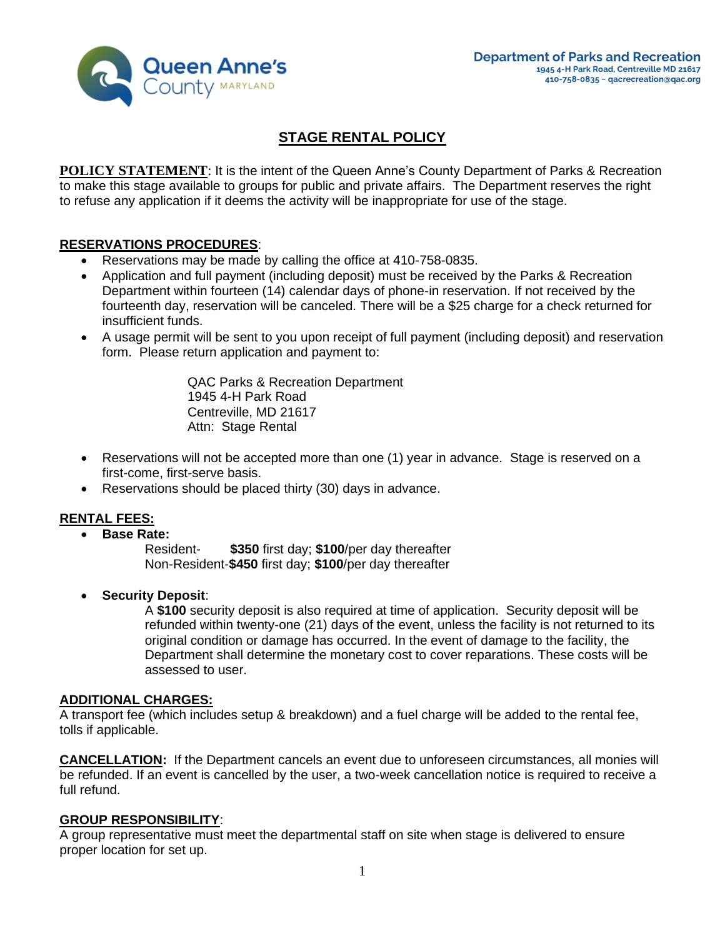

# **STAGE RENTAL POLICY**

**POLICY STATEMENT:** It is the intent of the Queen Anne's County Department of Parks & Recreation to make this stage available to groups for public and private affairs. The Department reserves the right to refuse any application if it deems the activity will be inappropriate for use of the stage.

### **RESERVATIONS PROCEDURES**:

- Reservations may be made by calling the office at 410-758-0835.
- Application and full payment (including deposit) must be received by the Parks & Recreation Department within fourteen (14) calendar days of phone-in reservation. If not received by the fourteenth day, reservation will be canceled. There will be a \$25 charge for a check returned for insufficient funds.
- A usage permit will be sent to you upon receipt of full payment (including deposit) and reservation form. Please return application and payment to:

QAC Parks & Recreation Department 1945 4-H Park Road Centreville, MD 21617 Attn: Stage Rental

- Reservations will not be accepted more than one (1) year in advance.Stage is reserved on a first-come, first-serve basis.
- Reservations should be placed thirty (30) days in advance.

#### **RENTAL FEES:**

• **Base Rate:**

Resident- **\$350** first day; **\$100**/per day thereafter Non-Resident-**\$450** first day; **\$100**/per day thereafter

• **Security Deposit**:

A **\$100** security deposit is also required at time of application. Security deposit will be refunded within twenty-one (21) days of the event, unless the facility is not returned to its original condition or damage has occurred. In the event of damage to the facility, the Department shall determine the monetary cost to cover reparations. These costs will be assessed to user.

#### **ADDITIONAL CHARGES:**

A transport fee (which includes setup & breakdown) and a fuel charge will be added to the rental fee, tolls if applicable.

**CANCELLATION:** If the Department cancels an event due to unforeseen circumstances, all monies will be refunded. If an event is cancelled by the user, a two-week cancellation notice is required to receive a full refund.

#### **GROUP RESPONSIBILITY**:

A group representative must meet the departmental staff on site when stage is delivered to ensure proper location for set up.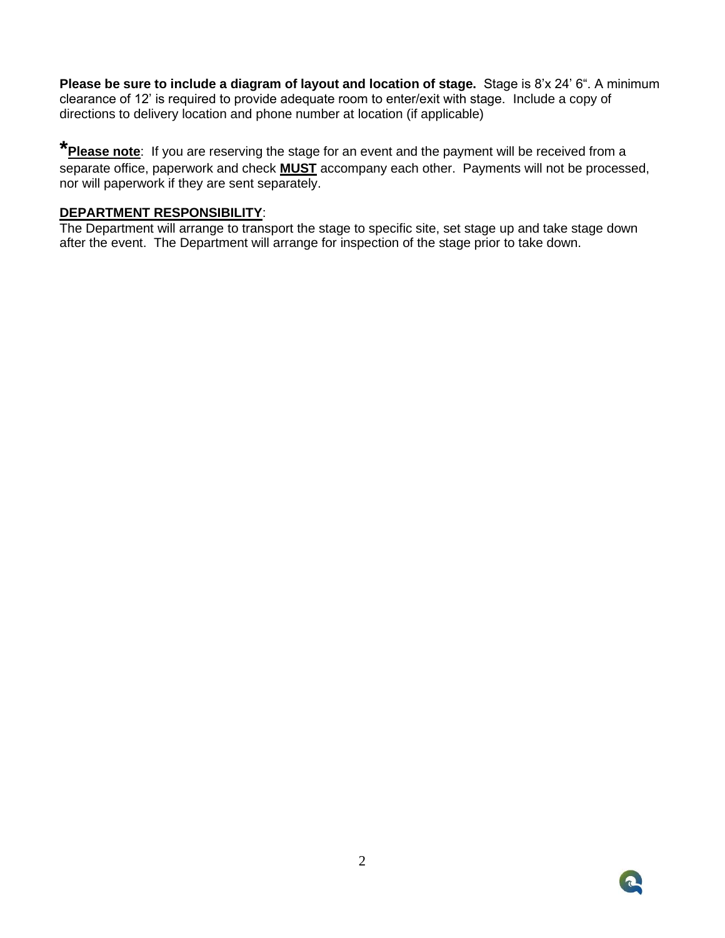**Please be sure to include a diagram of layout and location of stage.** Stage is 8'x 24' 6". A minimum clearance of 12' is required to provide adequate room to enter/exit with stage.Include a copy of directions to delivery location and phone number at location (if applicable)

**\*Please note**: If you are reserving the stage for an event and the payment will be received from a separate office, paperwork and check **MUST** accompany each other. Payments will not be processed, nor will paperwork if they are sent separately.

#### **DEPARTMENT RESPONSIBILITY**:

The Department will arrange to transport the stage to specific site, set stage up and take stage down after the event. The Department will arrange for inspection of the stage prior to take down.